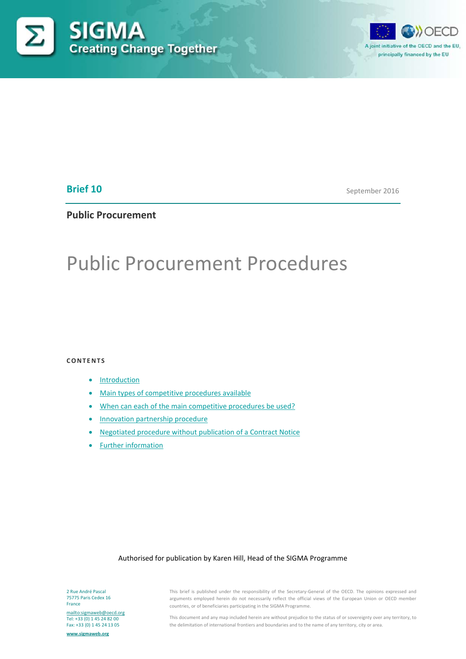



## **Brief 10**

September 2016

# **Public Procurement**

# Public Procurement Procedures

**CONTENTS**

- [Introduction](#page-1-0)
- [Main types of competitive procedures available](#page-1-1)
- [When can each of the main competitive procedures be used?](#page-5-0)
- [Innovation partnership procedure](#page-7-0)
- [Negotiated procedure without publication of a Contract Notice](#page-9-0)
- [Further information](#page-12-0)

## Authorised for publication by Karen Hill, Head of the SIGMA Programme

2 Rue André Pascal 75775 Paris Cedex 16 France

<mailto:sigmaweb@oecd.org> Tel: +33 (0) 1 45 24 82 00 Fax: +33 (0) 1 45 24 13 05

**[www.sigmaweb.org](http://www.sigmaweb.org/)**

This brief is published under the responsibility of the Secretary-General of the OECD. The opinions expressed and arguments employed herein do not necessarily reflect the official views of the European Union or OECD member countries, or of beneficiaries participating in the SIGMA Programme.

This document and any map included herein are without prejudice to the status of or sovereignty over any territory, to the delimitation of international frontiers and boundaries and to the name of any territory, city or area.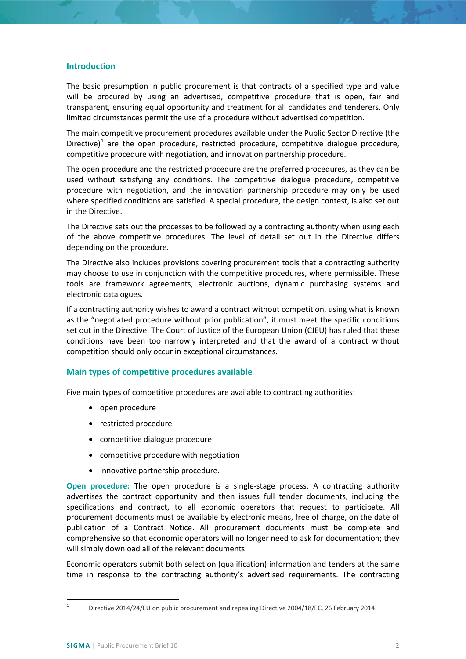## <span id="page-1-0"></span>**Introduction**

The basic presumption in public procurement is that contracts of a specified type and value will be procured by using an advertised, competitive procedure that is open, fair and transparent, ensuring equal opportunity and treatment for all candidates and tenderers. Only limited circumstances permit the use of a procedure without advertised competition.

The main competitive procurement procedures available under the Public Sector Directive (the Directive)<sup>[1](#page-1-2)</sup> are the open procedure, restricted procedure, competitive dialogue procedure, competitive procedure with negotiation, and innovation partnership procedure.

The open procedure and the restricted procedure are the preferred procedures, as they can be used without satisfying any conditions. The competitive dialogue procedure, competitive procedure with negotiation, and the innovation partnership procedure may only be used where specified conditions are satisfied. A special procedure, the design contest, is also set out in the Directive.

The Directive sets out the processes to be followed by a contracting authority when using each of the above competitive procedures. The level of detail set out in the Directive differs depending on the procedure.

The Directive also includes provisions covering procurement tools that a contracting authority may choose to use in conjunction with the competitive procedures, where permissible. These tools are framework agreements, electronic auctions, dynamic purchasing systems and electronic catalogues.

If a contracting authority wishes to award a contract without competition, using what is known as the "negotiated procedure without prior publication", it must meet the specific conditions set out in the Directive. The Court of Justice of the European Union (CJEU) has ruled that these conditions have been too narrowly interpreted and that the award of a contract without competition should only occur in exceptional circumstances.

## <span id="page-1-1"></span>**Main types of competitive procedures available**

Five main types of competitive procedures are available to contracting authorities:

- open procedure
- restricted procedure
- competitive dialogue procedure
- competitive procedure with negotiation
- innovative partnership procedure.

**Open procedure:** The open procedure is a single-stage process. A contracting authority advertises the contract opportunity and then issues full tender documents, including the specifications and contract, to all economic operators that request to participate. All procurement documents must be available by electronic means, free of charge, on the date of publication of a Contract Notice. All procurement documents must be complete and comprehensive so that economic operators will no longer need to ask for documentation; they will simply download all of the relevant documents.

Economic operators submit both selection (qualification) information and tenders at the same time in response to the contracting authority's advertised requirements. The contracting

<span id="page-1-2"></span> <sup>1</sup> Directive 2014/24/EU on public procurement and repealing Directive 2004/18/EC, 26 February 2014.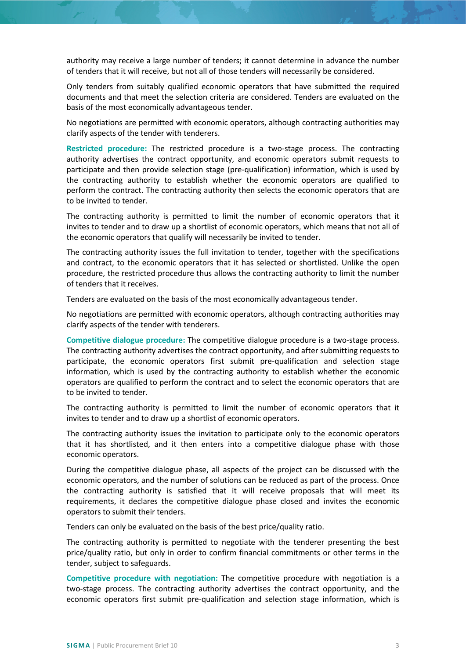authority may receive a large number of tenders; it cannot determine in advance the number of tenders that it will receive, but not all of those tenders will necessarily be considered.

Only tenders from suitably qualified economic operators that have submitted the required documents and that meet the selection criteria are considered. Tenders are evaluated on the basis of the most economically advantageous tender.

No negotiations are permitted with economic operators, although contracting authorities may clarify aspects of the tender with tenderers.

**Restricted procedure:** The restricted procedure is a two-stage process. The contracting authority advertises the contract opportunity, and economic operators submit requests to participate and then provide selection stage (pre-qualification) information, which is used by the contracting authority to establish whether the economic operators are qualified to perform the contract. The contracting authority then selects the economic operators that are to be invited to tender.

The contracting authority is permitted to limit the number of economic operators that it invites to tender and to draw up a shortlist of economic operators, which means that not all of the economic operators that qualify will necessarily be invited to tender.

The contracting authority issues the full invitation to tender, together with the specifications and contract, to the economic operators that it has selected or shortlisted. Unlike the open procedure, the restricted procedure thus allows the contracting authority to limit the number of tenders that it receives.

Tenders are evaluated on the basis of the most economically advantageous tender.

No negotiations are permitted with economic operators, although contracting authorities may clarify aspects of the tender with tenderers.

**Competitive dialogue procedure:** The competitive dialogue procedure is a two-stage process. The contracting authority advertises the contract opportunity, and after submitting requests to participate, the economic operators first submit pre-qualification and selection stage information, which is used by the contracting authority to establish whether the economic operators are qualified to perform the contract and to select the economic operators that are to be invited to tender.

The contracting authority is permitted to limit the number of economic operators that it invites to tender and to draw up a shortlist of economic operators.

The contracting authority issues the invitation to participate only to the economic operators that it has shortlisted, and it then enters into a competitive dialogue phase with those economic operators.

During the competitive dialogue phase, all aspects of the project can be discussed with the economic operators, and the number of solutions can be reduced as part of the process. Once the contracting authority is satisfied that it will receive proposals that will meet its requirements, it declares the competitive dialogue phase closed and invites the economic operators to submit their tenders.

Tenders can only be evaluated on the basis of the best price/quality ratio.

The contracting authority is permitted to negotiate with the tenderer presenting the best price/quality ratio, but only in order to confirm financial commitments or other terms in the tender, subject to safeguards.

**Competitive procedure with negotiation:** The competitive procedure with negotiation is a two-stage process. The contracting authority advertises the contract opportunity, and the economic operators first submit pre-qualification and selection stage information, which is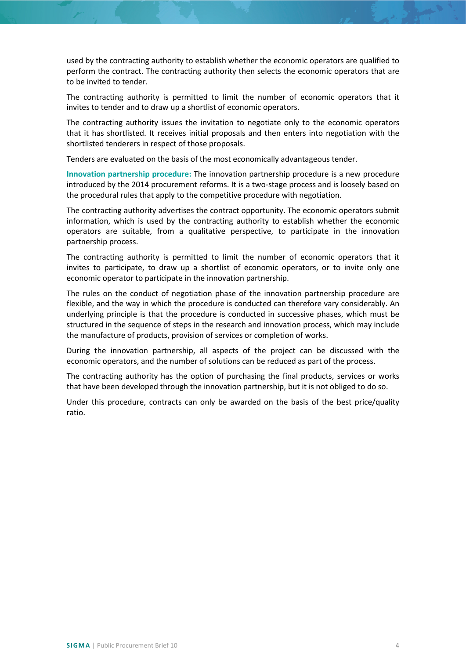used by the contracting authority to establish whether the economic operators are qualified to perform the contract. The contracting authority then selects the economic operators that are to be invited to tender.

The contracting authority is permitted to limit the number of economic operators that it invites to tender and to draw up a shortlist of economic operators.

The contracting authority issues the invitation to negotiate only to the economic operators that it has shortlisted. It receives initial proposals and then enters into negotiation with the shortlisted tenderers in respect of those proposals.

Tenders are evaluated on the basis of the most economically advantageous tender.

**Innovation partnership procedure:** The innovation partnership procedure is a new procedure introduced by the 2014 procurement reforms. It is a two-stage process and is loosely based on the procedural rules that apply to the competitive procedure with negotiation.

The contracting authority advertises the contract opportunity. The economic operators submit information, which is used by the contracting authority to establish whether the economic operators are suitable, from a qualitative perspective, to participate in the innovation partnership process.

The contracting authority is permitted to limit the number of economic operators that it invites to participate, to draw up a shortlist of economic operators, or to invite only one economic operator to participate in the innovation partnership.

The rules on the conduct of negotiation phase of the innovation partnership procedure are flexible, and the way in which the procedure is conducted can therefore vary considerably. An underlying principle is that the procedure is conducted in successive phases, which must be structured in the sequence of steps in the research and innovation process, which may include the manufacture of products, provision of services or completion of works.

During the innovation partnership, all aspects of the project can be discussed with the economic operators, and the number of solutions can be reduced as part of the process.

The contracting authority has the option of purchasing the final products, services or works that have been developed through the innovation partnership, but it is not obliged to do so.

Under this procedure, contracts can only be awarded on the basis of the best price/quality ratio.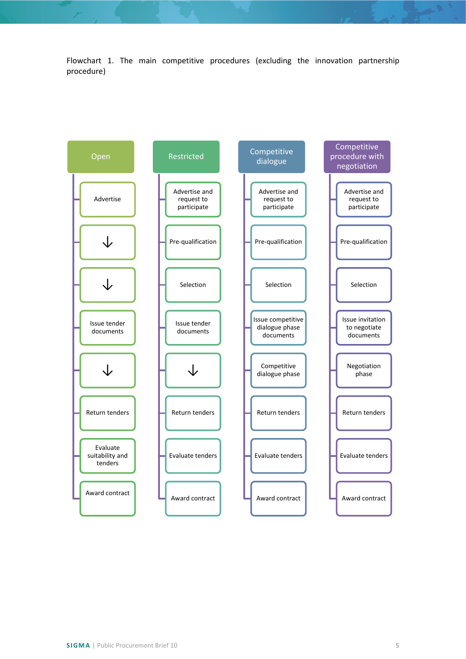Flowchart 1. The main competitive procedures (excluding the innovation partnership procedure)

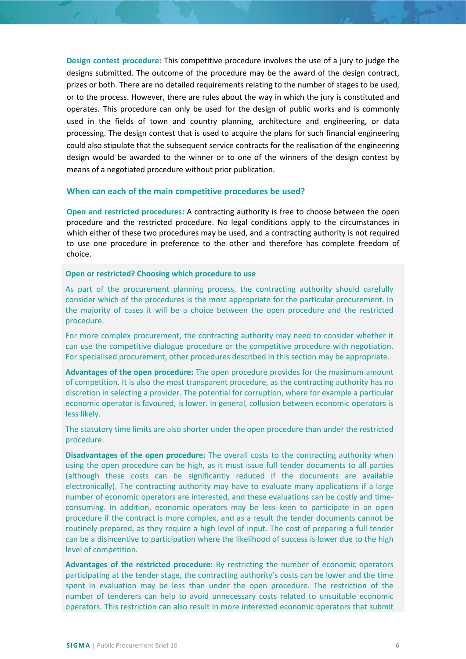**Design contest procedure:** This competitive procedure involves the use of a jury to judge the designs submitted. The outcome of the procedure may be the award of the design contract, prizes or both. There are no detailed requirements relating to the number of stages to be used, or to the process. However, there are rules about the way in which the jury is constituted and operates. This procedure can only be used for the design of public works and is commonly used in the fields of town and country planning, architecture and engineering, or data processing. The design contest that is used to acquire the plans for such financial engineering could also stipulate that the subsequent service contracts for the realisation of the engineering design would be awarded to the winner or to one of the winners of the design contest by means of a negotiated procedure without prior publication.

## <span id="page-5-0"></span>**When can each of the main competitive procedures be used?**

**Open and restricted procedures:** A contracting authority is free to choose between the open procedure and the restricted procedure. No legal conditions apply to the circumstances in which either of these two procedures may be used, and a contracting authority is not required to use one procedure in preference to the other and therefore has complete freedom of choice.

#### **Open or restricted? Choosing which procedure to use**

As part of the procurement planning process, the contracting authority should carefully consider which of the procedures is the most appropriate for the particular procurement. In the majority of cases it will be a choice between the open procedure and the restricted procedure.

For more complex procurement, the contracting authority may need to consider whether it can use the competitive dialogue procedure or the competitive procedure with negotiation. For specialised procurement, other procedures described in this section may be appropriate.

**Advantages of the open procedure:** The open procedure provides for the maximum amount of competition. It is also the most transparent procedure, as the contracting authority has no discretion in selecting a provider. The potential for corruption, where for example a particular economic operator is favoured, is lower. In general, collusion between economic operators is less likely.

The statutory time limits are also shorter under the open procedure than under the restricted procedure.

**Disadvantages of the open procedure:** The overall costs to the contracting authority when using the open procedure can be high, as it must issue full tender documents to all parties (although these costs can be significantly reduced if the documents are available electronically). The contracting authority may have to evaluate many applications if a large number of economic operators are interested, and these evaluations can be costly and timeconsuming. In addition, economic operators may be less keen to participate in an open procedure if the contract is more complex, and as a result the tender documents cannot be routinely prepared, as they require a high level of input. The cost of preparing a full tender can be a disincentive to participation where the likelihood of success is lower due to the high level of competition.

**Advantages of the restricted procedure:** By restricting the number of economic operators participating at the tender stage, the contracting authority's costs can be lower and the time spent in evaluation may be less than under the open procedure. The restriction of the number of tenderers can help to avoid unnecessary costs related to unsuitable economic operators. This restriction can also result in more interested economic operators that submit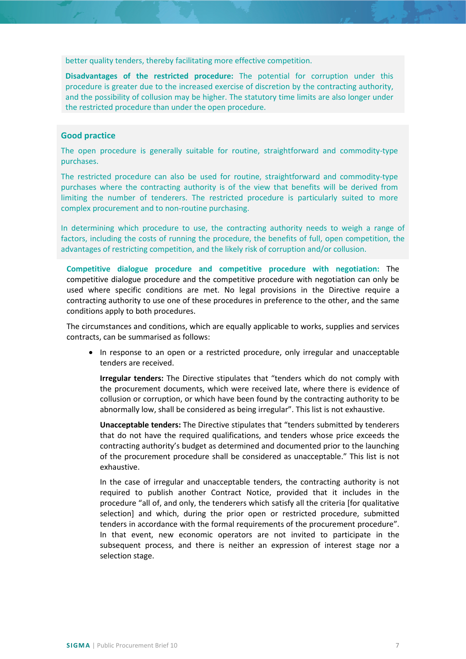better quality tenders, thereby facilitating more effective competition.

**Disadvantages of the restricted procedure:** The potential for corruption under this procedure is greater due to the increased exercise of discretion by the contracting authority, and the possibility of collusion may be higher. The statutory time limits are also longer under the restricted procedure than under the open procedure.

## **Good practice**

The open procedure is generally suitable for routine, straightforward and commodity-type purchases.

The restricted procedure can also be used for routine, straightforward and commodity-type purchases where the contracting authority is of the view that benefits will be derived from limiting the number of tenderers. The restricted procedure is particularly suited to more complex procurement and to non-routine purchasing.

In determining which procedure to use, the contracting authority needs to weigh a range of factors, including the costs of running the procedure, the benefits of full, open competition, the advantages of restricting competition, and the likely risk of corruption and/or collusion.

**Competitive dialogue procedure and competitive procedure with negotiation:** The competitive dialogue procedure and the competitive procedure with negotiation can only be used where specific conditions are met. No legal provisions in the Directive require a contracting authority to use one of these procedures in preference to the other, and the same conditions apply to both procedures.

The circumstances and conditions, which are equally applicable to works, supplies and services contracts, can be summarised as follows:

• In response to an open or a restricted procedure, only irregular and unacceptable tenders are received.

**Irregular tenders:** The Directive stipulates that "tenders which do not comply with the procurement documents, which were received late, where there is evidence of collusion or corruption, or which have been found by the contracting authority to be abnormally low, shall be considered as being irregular". This list is not exhaustive.

**Unacceptable tenders:** The Directive stipulates that "tenders submitted by tenderers that do not have the required qualifications, and tenders whose price exceeds the contracting authority's budget as determined and documented prior to the launching of the procurement procedure shall be considered as unacceptable." This list is not exhaustive.

In the case of irregular and unacceptable tenders, the contracting authority is not required to publish another Contract Notice, provided that it includes in the procedure "all of, and only, the tenderers which satisfy all the criteria [for qualitative selection] and which, during the prior open or restricted procedure, submitted tenders in accordance with the formal requirements of the procurement procedure". In that event, new economic operators are not invited to participate in the subsequent process, and there is neither an expression of interest stage nor a selection stage.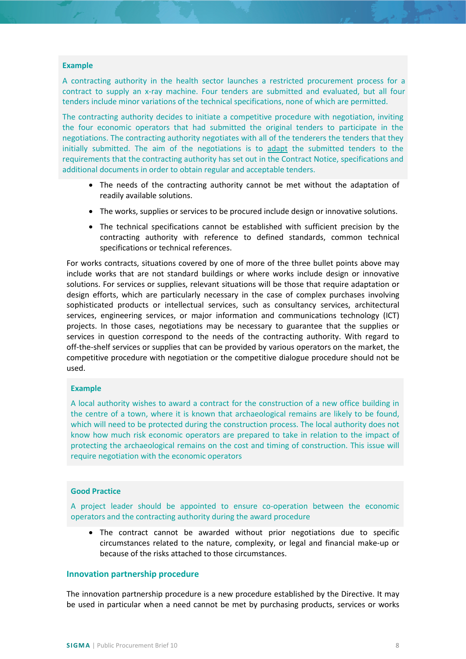#### **Example**

A contracting authority in the health sector launches a restricted procurement process for a contract to supply an x-ray machine. Four tenders are submitted and evaluated, but all four tenders include minor variations of the technical specifications, none of which are permitted.

The contracting authority decides to initiate a competitive procedure with negotiation, inviting the four economic operators that had submitted the original tenders to participate in the negotiations. The contracting authority negotiates with all of the tenderers the tenders that they initially submitted. The aim of the negotiations is to adapt the submitted tenders to the requirements that the contracting authority has set out in the Contract Notice, specifications and additional documents in order to obtain regular and acceptable tenders.

- The needs of the contracting authority cannot be met without the adaptation of readily available solutions.
- The works, supplies or services to be procured include design or innovative solutions.
- The technical specifications cannot be established with sufficient precision by the contracting authority with reference to defined standards, common technical specifications or technical references.

For works contracts, situations covered by one of more of the three bullet points above may include works that are not standard buildings or where works include design or innovative solutions. For services or supplies, relevant situations will be those that require adaptation or design efforts, which are particularly necessary in the case of complex purchases involving sophisticated products or intellectual services, such as consultancy services, architectural services, engineering services, or major information and communications technology (ICT) projects. In those cases, negotiations may be necessary to guarantee that the supplies or services in question correspond to the needs of the contracting authority. With regard to off-the-shelf services or supplies that can be provided by various operators on the market, the competitive procedure with negotiation or the competitive dialogue procedure should not be used.

#### **Example**

A local authority wishes to award a contract for the construction of a new office building in the centre of a town, where it is known that archaeological remains are likely to be found, which will need to be protected during the construction process. The local authority does not know how much risk economic operators are prepared to take in relation to the impact of protecting the archaeological remains on the cost and timing of construction. This issue will require negotiation with the economic operators

#### **Good Practice**

A project leader should be appointed to ensure co-operation between the economic operators and the contracting authority during the award procedure

• The contract cannot be awarded without prior negotiations due to specific circumstances related to the nature, complexity, or legal and financial make-up or because of the risks attached to those circumstances.

#### <span id="page-7-0"></span>**Innovation partnership procedure**

The innovation partnership procedure is a new procedure established by the Directive. It may be used in particular when a need cannot be met by purchasing products, services or works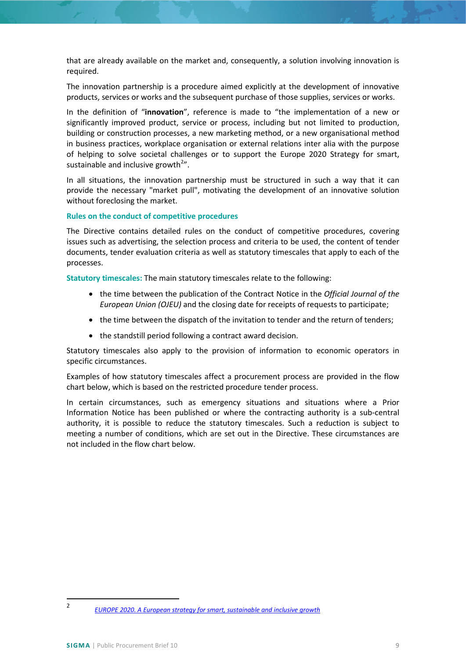that are already available on the market and, consequently, a solution involving innovation is required.

The innovation partnership is a procedure aimed explicitly at the development of innovative products, services or works and the subsequent purchase of those supplies, services or works.

In the definition of "**innovation**", reference is made to "the implementation of a new or significantly improved product, service or process, including but not limited to production, building or construction processes, a new marketing method, or a new organisational method in business practices, workplace organisation or external relations inter alia with the purpose of helping to solve societal challenges or to support the Europe 2020 Strategy for smart, sustainable and inclusive growth $^{2n}$  $^{2n}$  $^{2n}$ .

In all situations, the innovation partnership must be structured in such a way that it can provide the necessary "market pull", motivating the development of an innovative solution without foreclosing the market.

**Rules on the conduct of competitive procedures**

The Directive contains detailed rules on the conduct of competitive procedures, covering issues such as advertising, the selection process and criteria to be used, the content of tender documents, tender evaluation criteria as well as statutory timescales that apply to each of the processes.

**Statutory timescales:** The main statutory timescales relate to the following:

- the time between the publication of the Contract Notice in the *Official Journal of the European Union (OJEU)* and the closing date for receipts of requests to participate;
- the time between the dispatch of the invitation to tender and the return of tenders;
- the standstill period following a contract award decision.

Statutory timescales also apply to the provision of information to economic operators in specific circumstances.

Examples of how statutory timescales affect a procurement process are provided in the flow chart below, which is based on the restricted procedure tender process.

In certain circumstances, such as emergency situations and situations where a Prior Information Notice has been published or where the contracting authority is a sub-central authority, it is possible to reduce the statutory timescales. Such a reduction is subject to meeting a number of conditions, which are set out in the Directive. These circumstances are not included in the flow chart below.

<span id="page-8-0"></span> <sup>2</sup> *[EUROPE 2020. A European strategy for smart, sustainable and inclusive growth](http://ec.europa.eu/eu2020/pdf/COMPLET%20EN%20BARROSO%20%20%20007%20-%20Europe%202020%20-%20EN%20version.pdf)*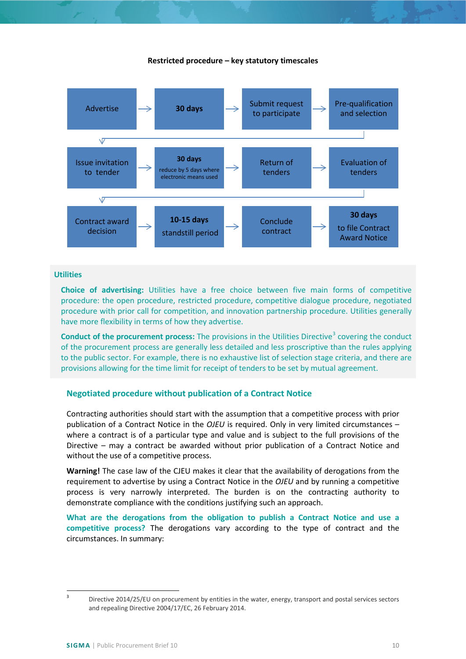#### **Restricted procedure – key statutory timescales**



#### **Utilities**

**Choice of advertising:** Utilities have a free choice between five main forms of competitive procedure: the open procedure, restricted procedure, competitive dialogue procedure, negotiated procedure with prior call for competition, and innovation partnership procedure. Utilities generally have more flexibility in terms of how they advertise.

**Conduct of the procurement process:** The provisions in the Utilities Directive<sup>[3](#page-9-1)</sup> covering the conduct of the procurement process are generally less detailed and less proscriptive than the rules applying to the public sector. For example, there is no exhaustive list of selection stage criteria, and there are provisions allowing for the time limit for receipt of tenders to be set by mutual agreement.

#### <span id="page-9-0"></span>**Negotiated procedure without publication of a Contract Notice**

Contracting authorities should start with the assumption that a competitive process with prior publication of a Contract Notice in the *OJEU* is required. Only in very limited circumstances – where a contract is of a particular type and value and is subject to the full provisions of the Directive – may a contract be awarded without prior publication of a Contract Notice and without the use of a competitive process.

**Warning!** The case law of the CJEU makes it clear that the availability of derogations from the requirement to advertise by using a Contract Notice in the *OJEU* and by running a competitive process is very narrowly interpreted. The burden is on the contracting authority to demonstrate compliance with the conditions justifying such an approach.

**What are the derogations from the obligation to publish a Contract Notice and use a competitive process?** The derogations vary according to the type of contract and the circumstances. In summary:

<span id="page-9-1"></span><sup>&</sup>lt;sup>3</sup> Directive 2014/25/EU on procurement by entities in the water, energy, transport and postal services sectors and repealing Directive 2004/17/EC, 26 February 2014.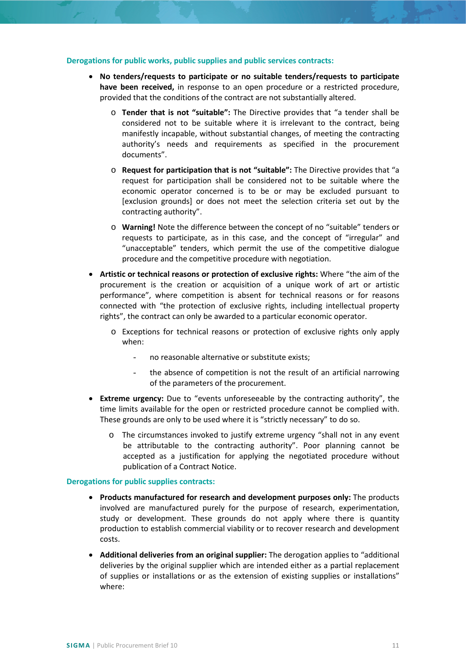#### **Derogations for public works, public supplies and public services contracts:**

- **No tenders/requests to participate or no suitable tenders/requests to participate have been received,** in response to an open procedure or a restricted procedure, provided that the conditions of the contract are not substantially altered.
	- o **Tender that is not "suitable":** The Directive provides that "a tender shall be considered not to be suitable where it is irrelevant to the contract, being manifestly incapable, without substantial changes, of meeting the contracting authority's needs and requirements as specified in the procurement documents".
	- o **Request for participation that is not "suitable":** The Directive provides that "a request for participation shall be considered not to be suitable where the economic operator concerned is to be or may be excluded pursuant to [exclusion grounds] or does not meet the selection criteria set out by the contracting authority".
	- o **Warning!** Note the difference between the concept of no "suitable" tenders or requests to participate, as in this case, and the concept of "irregular" and "unacceptable" tenders, which permit the use of the competitive dialogue procedure and the competitive procedure with negotiation.
- **Artistic or technical reasons or protection of exclusive rights:** Where "the aim of the procurement is the creation or acquisition of a unique work of art or artistic performance", where competition is absent for technical reasons or for reasons connected with "the protection of exclusive rights, including intellectual property rights", the contract can only be awarded to a particular economic operator.
	- o Exceptions for technical reasons or protection of exclusive rights only apply when:
		- no reasonable alternative or substitute exists;
		- the absence of competition is not the result of an artificial narrowing of the parameters of the procurement.
- **Extreme urgency:** Due to "events unforeseeable by the contracting authority", the time limits available for the open or restricted procedure cannot be complied with. These grounds are only to be used where it is "strictly necessary" to do so.
	- o The circumstances invoked to justify extreme urgency "shall not in any event be attributable to the contracting authority". Poor planning cannot be accepted as a justification for applying the negotiated procedure without publication of a Contract Notice.

#### **Derogations for public supplies contracts:**

- **Products manufactured for research and development purposes only:** The products involved are manufactured purely for the purpose of research, experimentation, study or development. These grounds do not apply where there is quantity production to establish commercial viability or to recover research and development costs.
- **Additional deliveries from an original supplier:** The derogation applies to "additional deliveries by the original supplier which are intended either as a partial replacement of supplies or installations or as the extension of existing supplies or installations" where: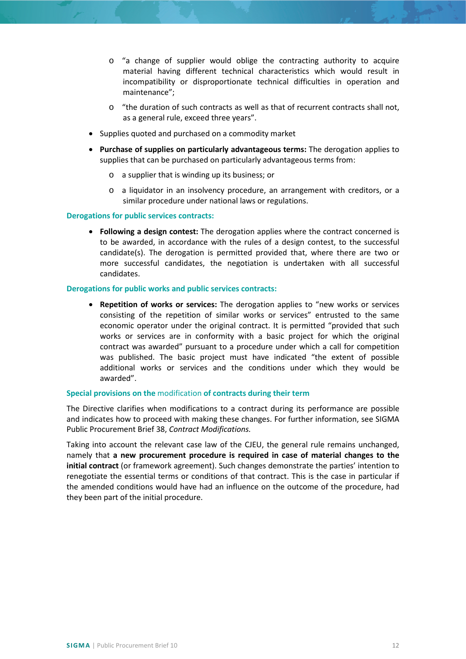- o "a change of supplier would oblige the contracting authority to acquire material having different technical characteristics which would result in incompatibility or disproportionate technical difficulties in operation and maintenance";
- o "the duration of such contracts as well as that of recurrent contracts shall not, as a general rule, exceed three years".
- Supplies quoted and purchased on a commodity market
- **Purchase of supplies on particularly advantageous terms:** The derogation applies to supplies that can be purchased on particularly advantageous terms from:
	- o a supplier that is winding up its business; or
	- o a liquidator in an insolvency procedure, an arrangement with creditors, or a similar procedure under national laws or regulations.

## **Derogations for public services contracts:**

• **Following a design contest:** The derogation applies where the contract concerned is to be awarded, in accordance with the rules of a design contest, to the successful candidate(s). The derogation is permitted provided that, where there are two or more successful candidates, the negotiation is undertaken with all successful candidates.

#### **Derogations for public works and public services contracts:**

• **Repetition of works or services:** The derogation applies to "new works or services consisting of the repetition of similar works or services" entrusted to the same economic operator under the original contract. It is permitted "provided that such works or services are in conformity with a basic project for which the original contract was awarded" pursuant to a procedure under which a call for competition was published. The basic project must have indicated "the extent of possible additional works or services and the conditions under which they would be awarded".

#### **Special provisions on the** modification **of contracts during their term**

The Directive clarifies when modifications to a contract during its performance are possible and indicates how to proceed with making these changes. For further information, see SIGMA Public Procurement Brief 38, *Contract Modifications.*

Taking into account the relevant case law of the CJEU, the general rule remains unchanged, namely that **a new procurement procedure is required in case of material changes to the initial contract** (or framework agreement). Such changes demonstrate the parties' intention to renegotiate the essential terms or conditions of that contract. This is the case in particular if the amended conditions would have had an influence on the outcome of the procedure, had they been part of the initial procedure.